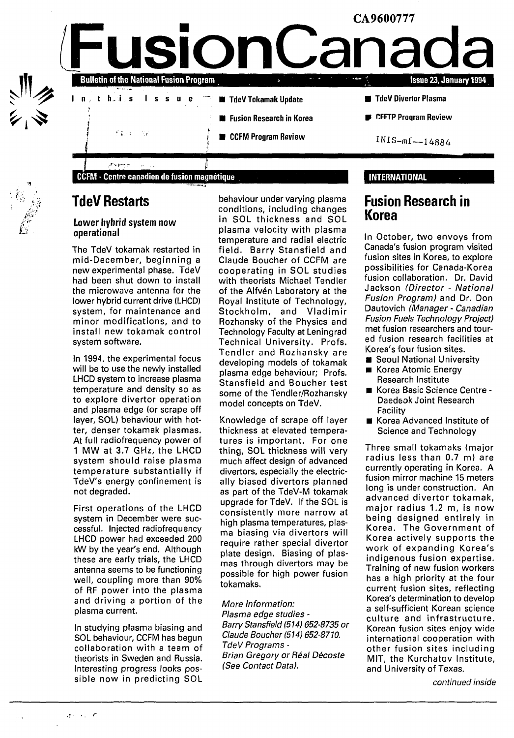

## **TdeV Restarts**

## **Lower hybrid system now operational**

The TdeV tokamak restarted in mid-December, beginning a new experimental phase. TdeV had been shut down to install the microwave antenna for the lower hybrid current drive (LHCD) system, for maintenance and minor modifications, and to install new tokamak control system software.

In 1994, the experimental focus will be to use the newly installed LHCD system to increase plasma temperature and density so as to explore divertor operation and plasma edge (or scrape off layer, SOL) behaviour with hotter, denser tokamak plasmas. At full radiofrequency power of 1 MW at 3.7 GHz, the LHCD system should raise plasma temperature substantially if TdeV's energy confinement is not degraded.

First operations of the LHCD system in December were successful. Injected radiofrequency LHCD power had exceeded 200 kW by the year's end. Although these are early trials, the LHCD antenna seems to be functioning well, coupling more than 90% of RF power into the plasma and driving a portion of the plasma current.

In studying plasma biasing and SOL behaviour, CCFM has begun collaboration with a team of theorists in Sweden and Russia. Interesting progress looks possible now in predicting SOL

behaviour under varying plasma conditions, including changes in SOL thickness and SOL plasma velocity with plasma temperature and radial electric field. Barry Stansfield and Claude Boucher of CCFM are cooperating in SOL studies with theorists Michael Tendler of the Alfvén Laboratory at the Royal Institute of Technology, Stockholm, and Vladimir Rozhansky of the Physics and Technology Faculty at Leningrad Technical University. Profs. Tendler and Rozhansky are developing models of tokamak plasma edge behaviour; Profs. Stansfield and Boucher test some of the Tendler/Rozhansky model concepts on TdeV.

Knowledge of scrape off layer thickness at elevated temperatures is important. For one thing, SOL thickness will very much affect design of advanced divertors, especially the electrically biased divertors planned as part of the TdeV-M tokamak upgrade for TdeV. If the SOL is consistently more narrow at high plasma temperatures, plasma biasing via divertors will require rather special divertor plate design. Biasing of plasmas through divertors may be possible for high power fusion tokamaks.

More information: Plasma edge studies - Barry Stansfield (514) 652-8735 or Claude Boucher (514) 652-8710. TdeV Programs - Brian Gregory or Réal Décoste (See Contact Data).

## **INTERNATIONAL**

# **Fusion Research in Korea**

In October, two envoys from Canada's fusion program visited fusion sites in Korea, to explore possibilities for Canada-Korea fusion collaboration. Dr. David Jackson (Director - National Fusion Program) and Dr. Don Dautovich (Manager - Canadian Fusion Fuels Technology Project) met fusion researchers and toured fusion research facilities at Korea's four fusion sites.

- **B** Seoul National University
- Korea Atomic Energy Research Institute
- Korea Basic Science Centre Daedeok Joint Research Facility
- Korea Advanced Institute of Science and Technology

Three small tokamaks (major radius less than 0.7 m) are currently operating in Korea. A fusion mirror machine 15 meters long is under construction. An advanced divertor tokamak, major radius 1.2 m, is now being designed entirely in Korea. The Government of Korea actively supports the work of expanding Korea's indigenous fusion expertise. Training of new fusion workers has a high priority at the four current fusion sites, reflecting Korea's determination to develop a self-sufficient Korean science culture and infrastructure. Korean fusion sites enjoy wide international cooperation with other fusion sites including MIT, the Kurchatov Institute, and University of Texas.

continued inside

**V**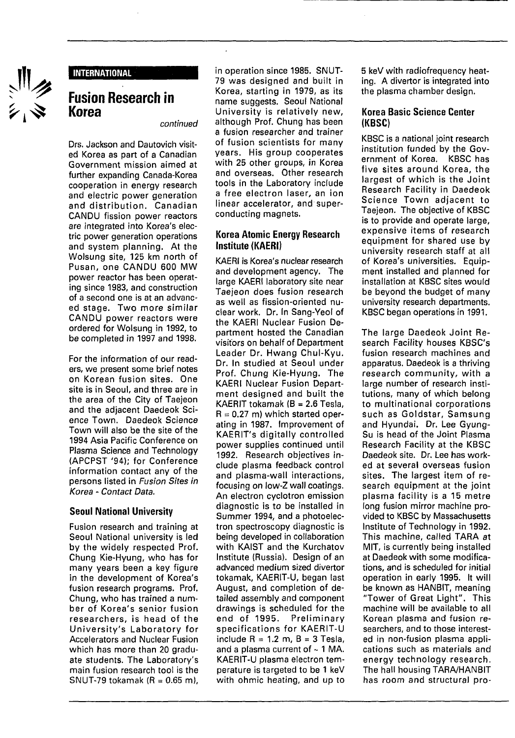

### **INTERNATIONAL**

# **Fusion Research in Korea**

continued

Drs. Jackson and Dautovich visited Korea as part of a Canadian Government mission aimed at further expanding Canada-Korea cooperation in energy research and electric power generation and distribution. Canadian CANDU fission power reactors are integrated into Korea's electric power generation operations and system planning. At the Wolsung site, 125 km north of Pusan, one CANDU 600 MW power reactor has been operating since 1983, and construction of a second one is at an advanced stage. Two more similar CANDU power reactors were ordered for Wolsung in 1992, to be completed in 1997 and 1998.

For the information of our readers, we present some brief notes on Korean fusion sites. One site is in Seoul, and three are in the area of the City of Taejeon and the adjacent Daedeok Science Town. Daedeok Science Town will also be the site of the 1994 Asia Pacific Conference on Plasma Science and Technology (APCPST '94); for Conference information contact any of the persons listed in Fusion Sites in Korea - Contact Data.

### **Seoul National University**

Fusion research and training at Seoul National university is led by the widely respected Prof. Chung Kie-Hyung, who has for many years been a key figure in the development of Korea's fusion research programs. Prof. Chung, who has trained a number of Korea's senior fusion researchers, is head of the University's Laboratory for Accelerators and Nuclear Fusion which has more than 20 graduate students. The Laboratory's main fusion research tool is the SNUT-79 tokamak ( $R = 0.65$  m), in operation since 1985. SNUT-79 was designed and built in Korea, starting in 1979, as its name suggests. Seoul National University is relatively new, although Prof. Chung has been a fusion researcher and trainer of fusion scientists for many years. His group cooperates with 25 other groups, in Korea and overseas. Other research tools in the Laboratory include a free electron laser, an ion linear accelerator, and superconducting magnets.

### **Korea Atomic Energy Research Institute (KAERI)**

KAERI is Korea's nuclear research and development agency. The large KAERI laboratory site near Taejeon does fusion research as well as fission-oriented nuclear work. Dr. In Sang-Yeol of the KAERI Nuclear Fusion Department hosted the Canadian visitors on behalf of Department Leader Dr. Hwang Chul-Kyu. Dr. In studied at Seoul under Prof. Chung Kie-Hyung. The KAERI Nuclear Fusion Department designed and built the KAERIT tokamak ( $B = 2.6$  Tesla,  $R = 0.27$  m) which started operating in 1987. Improvement of KAERIT's digitally controlled power supplies continued until 1992. Research objectives include plasma feedback control and plasma-wall interactions, focusing on low-Z wall coatings. An electron cyclotron emission diagnostic is to be installed in Summer 1994, and a photoelectron spectroscopy diagnostic is being developed in collaboration with KAIST and the Kurchatov Institute (Russia). Design of an advanced medium sized divertor advanced medium sized divertor tokamak, KAERIT-U, began last August, and completion of detailed assembly and component drawings is scheduled for the end of 1995. Preliminary specifications for KAERIT-U include  $R = 1.2$  m,  $B = 3$  Tesla, and a plasma current of  $\sim$  1 MA. KAERIT-U plasma electron temperature is targeted to be 1 keV<br>with ohmic heating, and up to 5 keV with radiofrequency heating. A divertor is integrated into the plasma chamber design.

### **Korea Basic Science Center (KBSC)**

KBSC is a national joint research institution funded by the Government of Korea. KBSC has five sites around Korea, the largest of which is the Joint Research Facility in Daedeok Science Town adjacent to Taejeon. The objective of KBSC is to provide and operate large, expensive items of research equipment for shared use by university research staff at all of Korea's universities. Equipment installed and planned for installation at KBSC sites would be beyond the budget of many university research departments. KBSC began operations in 1991.

The large Daedeok Joint Research Facility houses KBSC's fusion research machines and apparatus. Daedeok is a thriving research community, with a large number of research institutions, many of which belong to multinational corporations such as Goldstar, Samsung and Hyundai. Dr. Lee Gyung-Su is head of the Joint Plasma Research Facility at the KBSC Daedeok site. Dr. Lee has worked at several overseas fusion sites. The largest item of research equipment at the joint plasma facility is a 15 metre long fusion mirror machine provided to KBSC by Massachusetts Institute of Technology in 1992. This machine, called TARA at MIT, is currently being installed at Daedeok with some modifications, and is scheduled for initial operation in early 1995. It will be known as HANBIT, meaning "Tower of Great Light". This machine will be available to all Korean plasma and fusion researchers, and to those interestsearchers, and to those interested in non-fusion plasma applications such as materials and energy technology research. The hall housing TARA/HANBIT<br>has room and structural pro-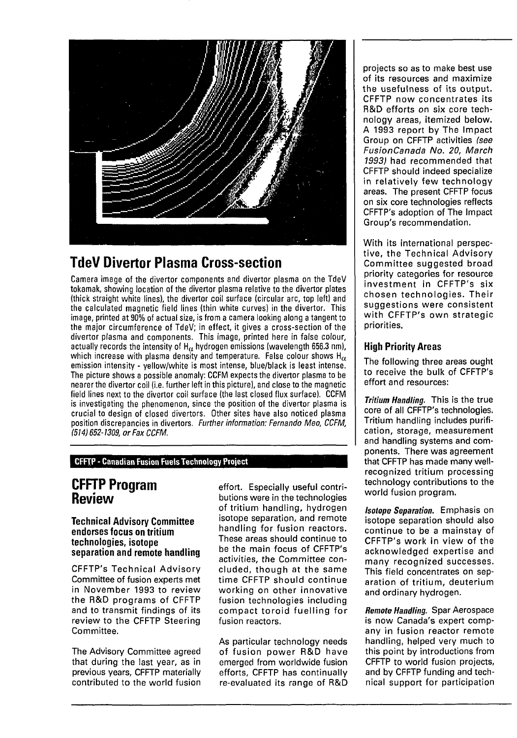

# **TdeV Divertor Plasma Cross-section**

Camera image of the divertor components and divertor plasma on the TdeV tokamak, showing location of the divertor plasma relative to the divertor plates (thick straight white lines), the divertor coil surface (circular arc, top left) and the calculated magnetic field lines (thin white curves) in the divertor. This image, printed at 90% of actual size, is from a camera looking along a tangent to the major circumference of TdeV; in effect, it gives a cross-section of the divertor plasma and components, This image, printed here in false colour, actually records the intensity of  $H_\alpha$  hydrogen emissions (wavelength 656.3 nm), which increase with plasma density and temperature. False colour shows  $H_{\alpha}$ emission intensity - yellow/white is most intense, blue/black is least intense. The picture shows a possible anomaly: CCFM expects the divertor plasma to be nearer the divertor coil (i.e. further left in this picture), and close to the magnetic field lines next to the divertor coil surface (the last closed flux surface). CCFM is investigating the phenomenon, since the position of the divertor plasma is crucial to design of closed divertors. Other sites have also noticed plasma position discrepancies in divertors. Further information: Fernando Meo, CCFM, 1514) 652-1309, or Fax CCFM.

### **CFFTP • Canadian Fusion Fuels Technology Project**

# **CFFTP Program Review**

### **Technical Advisory Committee endorses focus on tritium technologies, isotope separation and remote handling**

CFFTP's Technical Advisory Committee of fusion experts met in November 1993 to review the R&D programs of CFFTP and to transmit findings of its review to the CFFTP Steering Committee.

The Advisory Committee agreed that during the last year, as in previous years, CFFTP materially contributed to the world fusion

effort. Especially useful contributions were in the technologies of tritium handling, hydrogen isotope separation, and remote handling for fusion reactors. These areas should continue to be the main focus of CFFTP's activities, the Committee concluded, though at the same time CFFTP should continue working on other innovative fusion technologies including compact toroid fuelling for fusion reactors.

As particular technology needs of fusion power R&D have emerged from worldwide fusion efforts, CFFTP has continually re-evaluated its range of R&D projects so as to make best use of its resources and maximize the usefulness of its output. CFFTP now concentrates its R&D efforts on six core technology areas, itemized below. A 1993 report by The Impact Group on CFFTP activities (see FusionCanada No. 20, March 1993) had recommended that CFFTP should indeed specialize in relatively few technology areas. The present CFFTP focus on six core technologies reflects CFFTP's adoption of The Impact Group's recommendation.

With its international perspective, the Technical Advisory Committee suggested broad priority categories for resource investment in CFFTP's six chosen technologies. Their suggestions were consistent with CFFTP's own strategic priorities.

## **High Priority Areas**

The following three areas ought to receive the bulk of CFFTP's effort and resources:

Tritium Handling. This is the true core of all CFFTP's technologies. Tritium handling includes purification, storage, measurement and handling systems and components. There was agreement that CFFTP has made many wellrecognized tritium processing technology contributions to the world fusion program.

**Isotope Separation.** Emphasis on isotope separation should also continue to be a mainstay of CFFTP's work in view of the acknowledged expertise and many recognized successes. This field concentrates on separation of tritium, deuterium and ordinary hydrogen.

Remote Handling. Spar Aerospace is now Canada's expert company in fusion reactor remote handling, helped very much to this point by introductions from CFFTP to world fusion projects, and by CFFTP funding and technical support for participation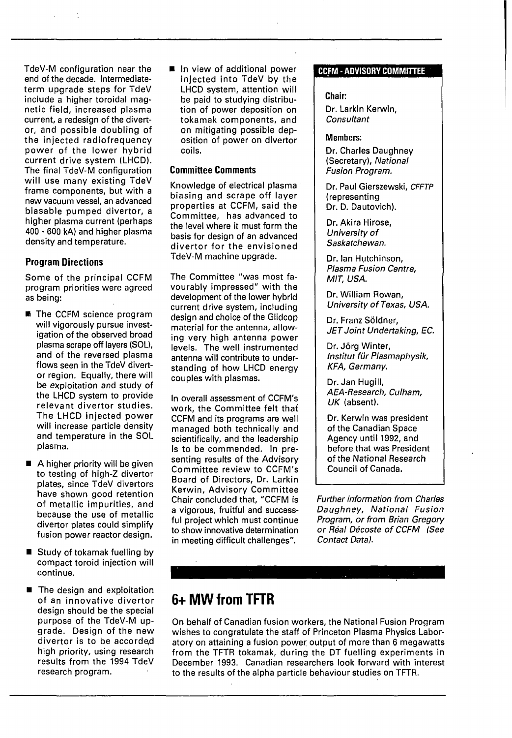TdeV-M configuration near the end of the decade. Intermediateterm upgrade steps for TdeV include a higher toroidal magnetic field, increased plasma current, a redesign of the divertor, and possible doubling of the injected radiofrequency power of the lower hybrid current drive system (LHCD). The final TdeV-M configuration will use many existing TdeV frame components, but with a new vacuum vessel, an advanced biasable pumped divertor, a higher plasma current (perhaps 400 - 600 kA) and higher plasma density and temperature.

## **Program Directions**

Some of the principal CCFM program priorities were agreed as being:

- $\blacksquare$  The CCFM science program will vigorously pursue investigation of the observed broad plasma scrape off layers (SOL), and of the reversed plasma flows seen in the TdeV divertor region. Equally, there will be exploitation and study of the LHCD system to provide relevant divertor studies. The LHCD injected power will increase particle density and temperature in the SOL plasma.
- $\blacksquare$  A higher priority will be given to testing of high-Z divertor plates, since TdeV divertors have shown good retention of metallic impurities, and because the use of metallic divertor plates could simplify fusion power reactor design.
- $\blacksquare$  Study of tokamak fuelling by compact toroid injection will continue.
- $\blacksquare$  The design and exploitation of an innovative divertor design should be the special purpose of the TdeV-M upgrade. Design of the new divertor is to be accorded high priority, using research results from the 1994 TdeV research program.

 $\blacksquare$  In view of additional power injected into TdeV by the LHCD system, attention will be paid to studying distribution of power deposition on tokamak components, and on mitigating possible deposition of power on divertor coils.

### **Committee Comments**

Knowledge of electrical plasma biasing and scrape off layer properties at CCFM, said the Committee, has advanced to the level where it must form the basis for design of an advanced divertor for the envisioned TdeV-M machine upgrade.

The Committee "was most favourably impressed" with the development of the lower hybrid current drive system, including design and choice of the Glidcop material for the antenna, allowing very high antenna power levels. The well instrumented antenna will contribute to understanding of how LHCD energy couples with plasmas.

In overall assessment of CCFM's work, the Committee felt that CCFM and its programs are well managed both technically and scientifically, and the leadership is to be commended. In presenting results of the Advisory Committee review to CCFM's Board of Directors, Dr. Larkin Kerwin, Advisory Committee Chair concluded that, "CCFM is a vigorous, fruitful and successful project which must continue to show innovative determination in meeting difficult challenges".

### CCFM**-ADVISORY COMMITTEE**

### **Chair:**

Dr. Larkin Kerwin, **Consultant** 

### Members:

Dr. Charles Daughney (Secretary), National Fusion Program.

Dr. Paul Gierszewski, CFFTP (representing Dr. D. Dautovich).

Dr. Akira Hirose, University of Saskatchewan.

Dr. Ian Hutchinson, Plasma Fusion Centre, MIT, USA.

Dr. William Rowan, University of Texas, USA.

Dr. Franz Sôldner, JET Joint Undertaking, EC.

Dr. Jôrg Winter, Institut für Plasmaphysik, KFA, Germany.

Dr. Jan Hugill, AEA-Research, Culham, UK (absent).

Dr. Kerwin was president of the Canadian Space Agency until 1992, and before that was President of the National Research Council of Canada.

Further information from Charles Daughney, National Fusion Program, or from Brian Gregory or Real Décoste of CCFM (See Contact Data).

# **6+ MW from TFTR**

On behalf of Canadian fusion workers, the National Fusion Program wishes to congratulate the staff of Princeton Plasma Physics Laboratory on attaining a fusion power output of more than 6 megawatts from the TFTR tokamak, during the DT fuelling experiments in December 1993. Canadian researchers look forward with interest to the results of the alpha particle behaviour studies on TFTR.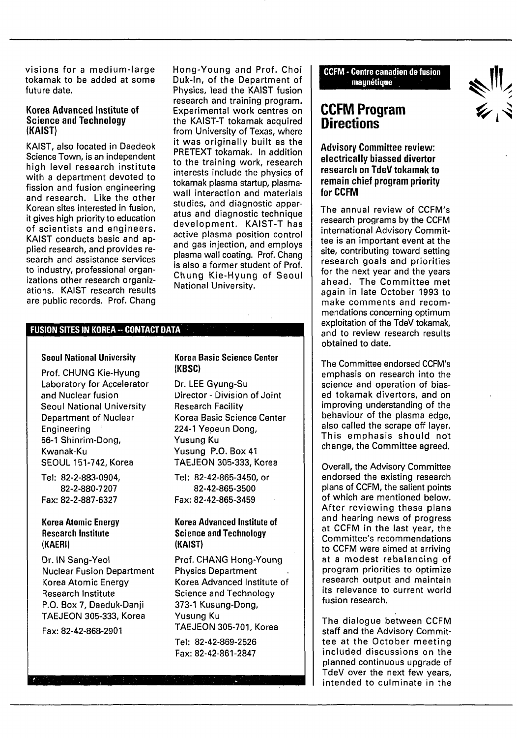visions for a medium-large tokamak to be added at some future date.

### **Korea Advanced Institute of Science and Technology (KAIST)**

KAIST, also located in Daedeok Science Town, is an independent high level research institute with a department devoted to fission and fusion engineering and research. Like the other Korean sites interested in fusion, it gives high priority to education of scientists and engineers. KAIST conducts basic and applied research, and provides research and assistance services to industry, professional organizations other research organizations. KAIST research results are public records. Prof. Chang Hong-Young and Prof. Choi Duk-ln, of the Department of Physics, lead the KAIST fusion research and training program. Experimental work centres on the KAIST-T tokamak acquired from University of Texas, where it was originally built as the PRETEXT tokamak. In addition to the training work, research interests include the physics of tokamak plasma startup, plasmawall interaction and materials studies, and diagnostic apparatus and diagnostic technique development. KAIST-T has active plasma position control and gas injection, and employs plasma wall coating. Prof. Chang is also a former student of Prof. Chung Kie-Hyung of Seoul National University.

### **FUSION SITES IN KOREA - CONTACT DATA**

### **Seoul National University**

Prof. CHUNG Kie-Hyung Laboratory for Accelerator and Nuclear fusion Seoul National University Department of Nuclear Engineering 56-1 Shinrim-Dong, Kwanak-Ku SEOUL 151-742, Korea

Tel: 82-2-883-0904, 82-2-880-7207 Fax: 82-2-887-6327

### **Korea Atomic Energy Research Institute (KAERI)**

Dr. IN Sang-Yeol Nuclear Fusion Department Korea Atomic Energy Research Institute P.O. Box 7, Daeduk-Danji TAEJEON 305-333, Korea

Fax: 82-42-868-2901

### **Korea Basic Science Center (KBSC)**

Dr. LEE Gyung-Su Director - Division of Joint Research Facility Korea Basic Science Center 224-1 Yeoeun Dong, Yusung Ku Yusung P.O. Box 41 TAEJEON 305-333, Korea

Tel: 82-42-865-3450, or 82-42-865-3500 Fax: 82-42-865-3459

## **Korea Advanced Institute of Science and Technology (KAIST)**

Prof. CHANG Hong-Young Physics Department Korea Advanced Institute of Science and Technology 373-1 Kusung-Dong, Yusung Ku TAEJEON 305-701, Korea Tel: 82-42-869-2526

Fax: 82-42-861-2847

**CCFM - Centre canadien de fusion magnétique**

## **CCFM Program Directions**

**Advisory Committee review: electrically biassed divertor research on TdeV tokamak to remain chief program priority for CCFM**

The annual review of CCFM's research programs by the CCFM international Advisory Committee is an important event at the site, contributing toward setting research goals and priorities for the next year and the years ahead. The Committee met again in late October 1993 to make comments and recommendations concerning optimum exploitation of the TdeV tokamak, and to review research results obtained to date.

The Committee endorsed CCFM's emphasis on research into the science and operation of biased tokamak divertors, and on improving understanding of the behaviour of the plasma edge, also called the scrape off layer. This emphasis should not change, the Committee agreed.

Overall, the Advisory Committee endorsed the existing research plans of CCFM, the salient points of which are mentioned below. After reviewing these plans and hearing news of progress at CCFM in the last year, the Committee's recommendations to CCFM were aimed at arriving at a modest rebalancing of program priorities to optimize research output and maintain its relevance to current world fusion research.

The dialogue between CCFM staff and the Advisory Committee at the October meeting included discussions on the planned continuous upgrade of TdeV over the next few years, intended to culminate in the